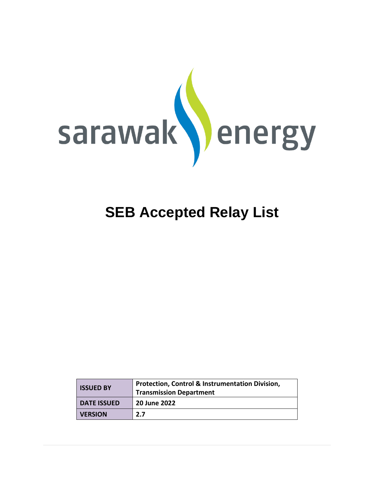

| <b>ISSUED BY</b>   | <b>Protection, Control &amp; Instrumentation Division,</b><br><b>Transmission Department</b> |
|--------------------|----------------------------------------------------------------------------------------------|
| <b>DATE ISSUED</b> | 20 June 2022                                                                                 |
| <b>VERSION</b>     | 2.7                                                                                          |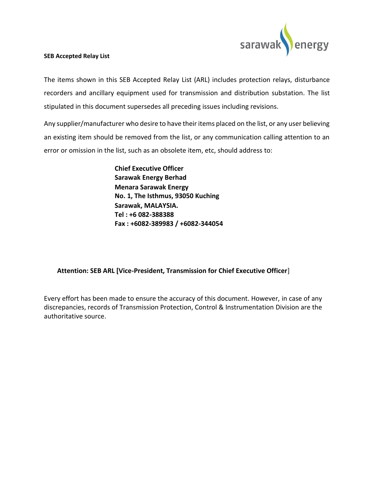

The items shown in this SEB Accepted Relay List (ARL) includes protection relays, disturbance recorders and ancillary equipment used for transmission and distribution substation. The list stipulated in this document supersedes all preceding issues including revisions.

Any supplier/manufacturer who desire to have their items placed on the list, or any user believing an existing item should be removed from the list, or any communication calling attention to an error or omission in the list, such as an obsolete item, etc, should address to:

> **Chief Executive Officer Sarawak Energy Berhad Menara Sarawak Energy No. 1, The Isthmus, 93050 Kuching Sarawak, MALAYSIA. Tel : +6 082-388388 Fax : +6082-389983 / +6082-344054**

#### **Attention: SEB ARL [Vice-President, Transmission for Chief Executive Officer**]

Every effort has been made to ensure the accuracy of this document. However, in case of any discrepancies, records of Transmission Protection, Control & Instrumentation Division are the authoritative source.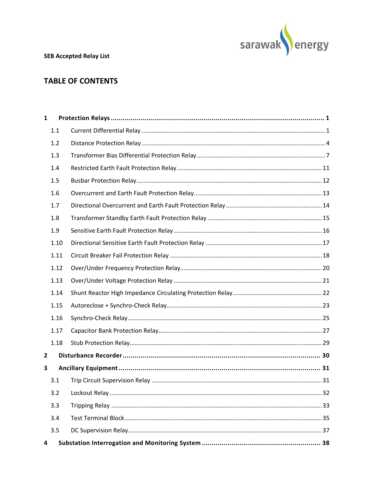

### **TABLE OF CONTENTS**

| $\mathbf{1}$ |      |  |
|--------------|------|--|
|              | 1.1  |  |
|              | 1.2  |  |
|              | 1.3  |  |
|              | 1.4  |  |
|              | 1.5  |  |
|              | 1.6  |  |
|              | 1.7  |  |
|              | 1.8  |  |
|              | 1.9  |  |
|              | 1.10 |  |
|              | 1.11 |  |
|              | 1.12 |  |
|              | 1.13 |  |
|              | 1.14 |  |
|              | 1.15 |  |
|              | 1.16 |  |
|              | 1.17 |  |
|              | 1.18 |  |
| $\mathbf{2}$ |      |  |
| 3            |      |  |
|              | 3.1  |  |
|              | 3.2  |  |
|              | 3.3  |  |
|              | 3.4  |  |
|              | 3.5  |  |
| 4            |      |  |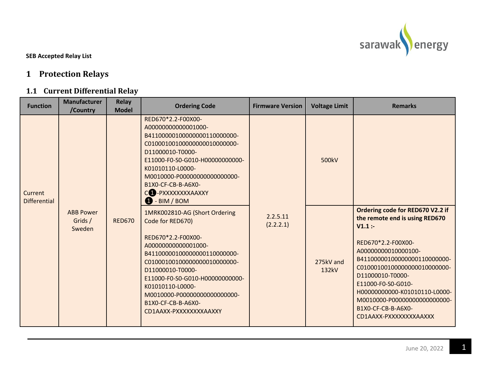

# **1 Protection Relays**

### **1.1 Current Differential Relay**

<span id="page-3-1"></span><span id="page-3-0"></span>

| <b>Function</b>                | <b>Manufacturer</b><br>/Country       | <b>Relay</b><br><b>Model</b> | <b>Ordering Code</b>                                                                                                                                                                                                                                                                                                        | <b>Firmware Version</b> | <b>Voltage Limit</b> | <b>Remarks</b>                                                                                                                                                                                                                                                                                                                                       |
|--------------------------------|---------------------------------------|------------------------------|-----------------------------------------------------------------------------------------------------------------------------------------------------------------------------------------------------------------------------------------------------------------------------------------------------------------------------|-------------------------|----------------------|------------------------------------------------------------------------------------------------------------------------------------------------------------------------------------------------------------------------------------------------------------------------------------------------------------------------------------------------------|
| Current<br><b>Differential</b> |                                       |                              | RED670*2.2-F00X00-<br>A00000000000001000-<br>B41100000100000000110000000-<br>C010001001000000000010000000-<br>D11000010-T0000-<br>E11000-F0-S0-G010-H00000000000-<br>K01010110-L0000-<br>M0010000-P000000000000000000-<br>B1X0-CF-CB-B-A6X0-<br>CO-PXXXXXXXAAXXY<br><b>1</b> - BIM / BOM                                    |                         | 500kV                |                                                                                                                                                                                                                                                                                                                                                      |
|                                | <b>ABB Power</b><br>Grids /<br>Sweden | <b>RED670</b>                | 1MRK002810-AG (Short Ordering<br>Code for RED670)<br>RED670*2.2-F00X00-<br>A00000000000001000-<br>B41100000100000000110000000-<br>C010001001000000000010000000-<br>D11000010-T0000-<br>E11000-F0-S0-G010-H00000000000-<br>K01010110-L0000-<br>M0010000-P000000000000000000-<br>B1X0-CF-CB-B-A6X0-<br>CD1AAXX-PXXXXXXXXAAXXY | 2.2.5.11<br>(2.2.2.1)   | 275kV and<br>132kV   | Ordering code for RED670 V2.2 if<br>the remote end is using RED670<br>V1.1:<br>RED670*2.2-F00X00-<br>A00000000010000100-<br>B41100000100000000110000000-<br>C01000100100000000010000000-<br>D11000010-T0000-<br>E11000-F0-S0-G010-<br>H00000000000-K01010110-L0000-<br>M0010000-P000000000000000000-<br>B1X0-CF-CB-B-A6X0-<br>CD1AAXX-PXXXXXXXXAAXXX |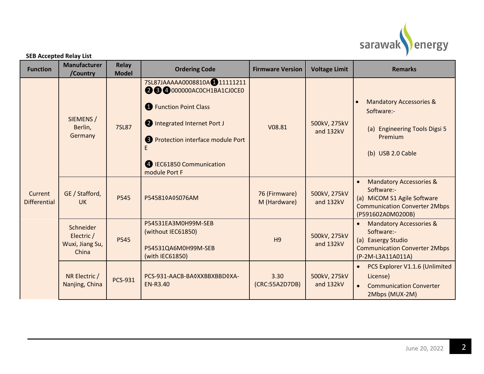

|  | <b>SEB Accepted Relay List</b> |  |
|--|--------------------------------|--|
|--|--------------------------------|--|

| <b>Function</b>                | <b>Manufacturer</b><br>/Country                     | <b>Relay</b><br><b>Model</b> | <b>Ordering Code</b>                                                                                                                                                                                                            | <b>Firmware Version</b>       | <b>Voltage Limit</b>      | <b>Remarks</b>                                                                                                                                            |
|--------------------------------|-----------------------------------------------------|------------------------------|---------------------------------------------------------------------------------------------------------------------------------------------------------------------------------------------------------------------------------|-------------------------------|---------------------------|-----------------------------------------------------------------------------------------------------------------------------------------------------------|
|                                | SIEMENS /<br>Berlin,<br>Germany                     | <b>7SL87</b>                 | 7SL87JAAAAA0008810A <sup>1</sup> 11111211<br>28000000ACOCH1BA1CJ0CE0<br><b>1</b> Function Point Class<br>2 Integrated Internet Port J<br><b>8</b> Protection interface module Port<br>4 IEC61850 Communication<br>module Port F | V08.81                        | 500kV, 275kV<br>and 132kV | <b>Mandatory Accessories &amp;</b><br>Software:-<br>(a) Engineering Tools Digsi 5<br>Premium<br>(b) USB 2.0 Cable                                         |
| Current<br><b>Differential</b> | GE / Stafford,<br><b>UK</b>                         | P545                         | P545810A0S076AM                                                                                                                                                                                                                 | 76 (Firmware)<br>M (Hardware) | 500kV, 275kV<br>and 132kV | <b>Mandatory Accessories &amp;</b><br>$\bullet$<br>Software:-<br>(a) MiCOM S1 Agile Software<br><b>Communication Converter 2Mbps</b><br>(P591602A0M0200B) |
|                                | Schneider<br>Electric /<br>Wuxi, Jiang Su,<br>China | P545                         | P54531EA3M0H99M-SEB<br>(without IEC61850)<br>P54531QA6M0H99M-SEB<br>(with IEC61850)                                                                                                                                             | H <sub>9</sub>                | 500kV, 275kV<br>and 132kV | <b>Mandatory Accessories &amp;</b><br>$\bullet$<br>Software:-<br>(a) Easergy Studio<br><b>Communication Converter 2Mbps</b><br>(P-2M-L3A11A011A)          |
|                                | NR Electric /<br>Nanjing, China                     | <b>PCS-931</b>               | PCS-931-AACB-BA0XXBBXBBD0XA-<br><b>EN-R3.40</b>                                                                                                                                                                                 | 3.30<br>(CRC:55A2D7DB)        | 500kV, 275kV<br>and 132kV | PCS Explorer V1.1.6 (Unlimited<br>License)<br><b>Communication Converter</b><br>$\bullet$<br>2Mbps (MUX-2M)                                               |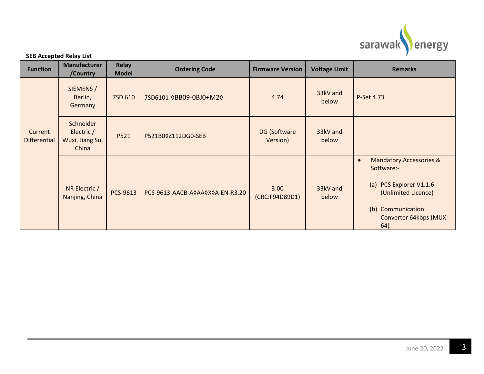

| <b>Function</b> | <b>Manufacturer</b><br>/Country | <b>Relay</b><br><b>Model</b> | <b>Ordering Code</b>   |
|-----------------|---------------------------------|------------------------------|------------------------|
|                 | SIEMENS /<br>Berlin,<br>Germany | 7SD 610                      | 7SD6101-0BB09-0BJ0+M20 |
|                 | Calamatalan                     |                              |                        |

| <b>Function</b>         | <b>Manufacturer</b><br>/Country                     | Relay<br><b>Model</b> | <b>Ordering Code</b>            | <b>Firmware Version</b>  | <b>Voltage Limit</b> | <b>Remarks</b>                                                                                                                                                        |
|-------------------------|-----------------------------------------------------|-----------------------|---------------------------------|--------------------------|----------------------|-----------------------------------------------------------------------------------------------------------------------------------------------------------------------|
|                         | SIEMENS /<br>Berlin,<br>Germany                     | 7SD 610               | 7SD6101-0BB09-0BJ0+M20          | 4.74                     | 33kV and<br>below    | P-Set 4.73                                                                                                                                                            |
| Current<br>Differential | Schneider<br>Electric /<br>Wuxi, Jiang Su,<br>China | P521                  | P521B00Z112DG0-SEB              | DG (Software<br>Version) | 33kV and<br>below    |                                                                                                                                                                       |
|                         | NR Electric /<br>Nanjing, China                     | PCS-9613              | PCS-9613-AACB-A0AA0X0A-EN-R3.20 | 3.00<br>(CRC:F94D89D1)   | 33kV and<br>below    | <b>Mandatory Accessories &amp;</b><br>$\bullet$<br>Software:-<br>(a) PCS Explorer V1.1.6<br>(Unlimited Licence)<br>(b) Communication<br>Converter 64kbps (MUX-<br>64) |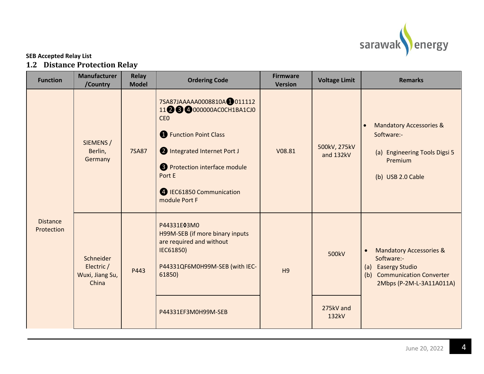

### **SEB Accepted Relay List 1.2 Distance Protection Relay**

<span id="page-6-0"></span>

| <b>Function</b>               | <b>Manufacturer</b><br>/Country                     | <b>Relay</b><br><b>Model</b> | <b>Ordering Code</b>                                                                                                                                                                                                                            | <b>Firmware</b><br><b>Version</b> | <b>Voltage Limit</b>        | <b>Remarks</b>                                                                                                                                 |
|-------------------------------|-----------------------------------------------------|------------------------------|-------------------------------------------------------------------------------------------------------------------------------------------------------------------------------------------------------------------------------------------------|-----------------------------------|-----------------------------|------------------------------------------------------------------------------------------------------------------------------------------------|
| <b>Distance</b><br>Protection | SIEMENS /<br>Berlin,<br>Germany                     | <b>7SA87</b>                 | 7SA87JAAAAA0008810A <sup>0</sup> 011112<br>1123 @000000AC0CH1BA1CJ0<br>CE <sub>0</sub><br><b>C</b> Function Point Class<br>1 Integrated Internet Port J<br>8 Protection interface module<br>Port E<br>4 IEC61850 Communication<br>module Port F | V08.81                            | 500kV, 275kV<br>and 132kV   | <b>Mandatory Accessories &amp;</b><br>$\bullet$<br>Software:-<br>(a) Engineering Tools Digsi 5<br>Premium<br>(b) USB 2.0 Cable                 |
|                               | Schneider<br>Electric /<br>Wuxi, Jiang Su,<br>China | P443                         | P44331E03M0<br>H99M-SEB (if more binary inputs<br>are required and without<br>IEC61850)<br>P44331QF6M0H99M-SEB (with IEC-<br>61850)<br>P44331EF3M0H99M-SEB                                                                                      | H <sub>9</sub>                    | 500kV<br>275kV and<br>132kV | <b>Mandatory Accessories &amp;</b><br>$\bullet$<br>Software:-<br>(a) Easergy Studio<br>(b) Communication Converter<br>2Mbps (P-2M-L-3A11A011A) |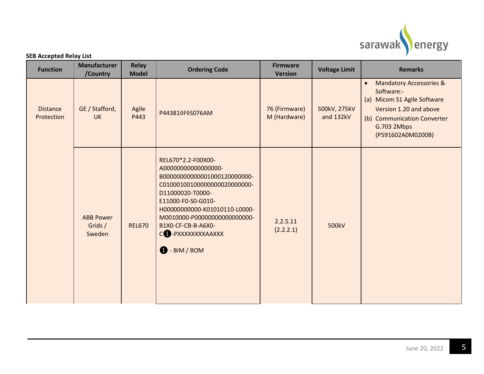

| <b>Function</b>               | <b>Manufacturer</b><br>/Country       | <b>Relay</b><br><b>Model</b> | <b>Ordering Code</b>                                                                                                                                                                                                                                                                          | <b>Firmware</b><br><b>Version</b> | <b>Voltage Limit</b>      | <b>Remarks</b>                                                                                                                                                                            |
|-------------------------------|---------------------------------------|------------------------------|-----------------------------------------------------------------------------------------------------------------------------------------------------------------------------------------------------------------------------------------------------------------------------------------------|-----------------------------------|---------------------------|-------------------------------------------------------------------------------------------------------------------------------------------------------------------------------------------|
| <b>Distance</b><br>Protection | GE / Stafford,<br><b>UK</b>           | Agile<br>P443                | P443810F0S076AM                                                                                                                                                                                                                                                                               | 76 (Firmware)<br>M (Hardware)     | 500kV, 275kV<br>and 132kV | <b>Mandatory Accessories &amp;</b><br>$\bullet$<br>Software:-<br>(a) Micom S1 Agile Software<br>Version 1.20 and above<br>(b) Communication Converter<br>G.703 2Mbps<br>(P591602A0M0200B) |
|                               | <b>ABB Power</b><br>Grids /<br>Sweden | <b>REL670</b>                | REL670*2.2-F00X00-<br>A0000000000000000-<br>B00000000000001000120000000-<br>C010001001000000000020000000-<br>D11000020-T0000-<br>E11000-F0-S0-G010-<br>H00000000000-K01010110-L0000-<br>M0010000-P000000000000000000-<br>B1X0-CF-CB-B-A6X0-<br>C1 - PXXXXXXXXAAXXX<br>$\bigoplus$ - BIM / BOM | 2.2.5.11<br>(2.2.2.1)             | 500kV                     |                                                                                                                                                                                           |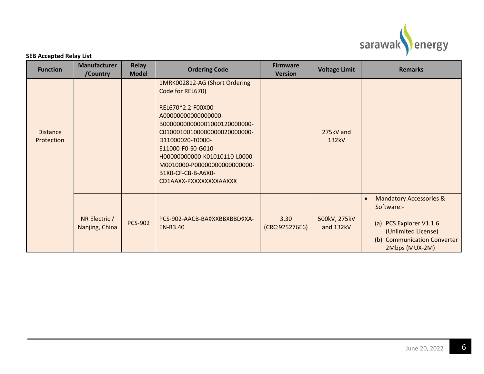

| <b>Function</b>               | <b>Manufacturer</b><br>/Country | <b>Relay</b><br><b>Model</b> | <b>Ordering Code</b>                                                                                                                                                                                                                                                                                                         | <b>Firmware</b><br><b>Version</b> | <b>Voltage Limit</b>      | <b>Remarks</b>                                                                                                                                                             |
|-------------------------------|---------------------------------|------------------------------|------------------------------------------------------------------------------------------------------------------------------------------------------------------------------------------------------------------------------------------------------------------------------------------------------------------------------|-----------------------------------|---------------------------|----------------------------------------------------------------------------------------------------------------------------------------------------------------------------|
| <b>Distance</b><br>Protection |                                 |                              | 1MRK002812-AG (Short Ordering<br>Code for REL670)<br>REL670*2.2-F00X00-<br>A00000000000000000-<br>B000000000000001000120000000-<br>C010001001000000000020000000-<br>D11000020-T0000-<br>E11000-F0-S0-G010-<br>H00000000000-K01010110-L0000-<br>M0010000-P000000000000000000-<br>B1X0-CF-CB-B-A6X0-<br>CD1AAXX-PXXXXXXXXAAXXX |                                   | 275kV and<br>132kV        |                                                                                                                                                                            |
|                               | NR Electric /<br>Nanjing, China | <b>PCS-902</b>               | PCS-902-AACB-BA0XXBBXBBD0XA-<br>EN-R3.40                                                                                                                                                                                                                                                                                     | 3.30<br>(CRC:925276E6)            | 500kV, 275kV<br>and 132kV | <b>Mandatory Accessories &amp;</b><br>$\bullet$<br>Software:-<br>(a) PCS Explorer V1.1.6<br>(Unlimited License)<br><b>Communication Converter</b><br>(b)<br>2Mbps (MUX-2M) |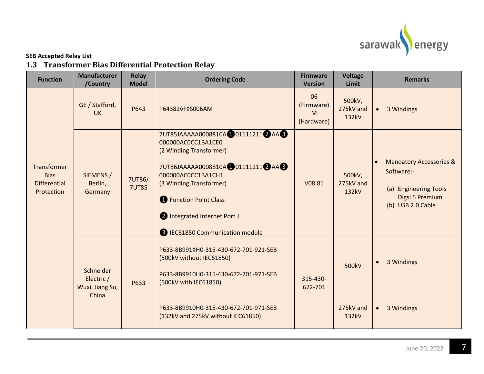

# **1.3 Transformer Bias Differential Protection Relay**

<span id="page-9-0"></span>

| /Country                                            | <b>Relay</b><br><b>Model</b> | <b>Ordering Code</b>                                                                                                                                                                                                                                                             | <b>Firmware</b><br><b>Version</b>   | <b>Voltage</b><br>Limit      | <b>Remarks</b>                                                                                                    |
|-----------------------------------------------------|------------------------------|----------------------------------------------------------------------------------------------------------------------------------------------------------------------------------------------------------------------------------------------------------------------------------|-------------------------------------|------------------------------|-------------------------------------------------------------------------------------------------------------------|
| GE / Stafford,<br><b>UK</b>                         | P643                         | P643820F0S006AM                                                                                                                                                                                                                                                                  | 06<br>(Firmware)<br>M<br>(Hardware) | 500kV,<br>275kV and<br>132kV | 3 Windings<br>$\bullet$                                                                                           |
| SIEMENS /<br>Berlin,<br>Germany                     | 7UT86/<br><b>7UT85</b>       | 7UT85JAAAAA0008810A 01111211 2 AA 3<br>000000AC0CC1BA1CE0<br>(2 Winding Transformer)<br>7UT86JAAAAA0008810A 01111211 2 AA 6<br>000000AC0CC1BA1CH1<br>(3 Winding Transformer)<br><b>1</b> Function Point Class<br>1 Integrated Internet Port J<br>B IEC61850 Communication module | V08.81                              | 500kV,<br>275kV and<br>132kV | <b>Mandatory Accessories &amp;</b><br>Software:-<br>(a) Engineering Tools<br>Digsi 5 Premium<br>(b) USB 2.0 Cable |
| Schneider<br>Electric /<br>Wuxi, Jiang Su,<br>China | P633                         | P633-8B9910H0-315-430-672-701-921-SEB<br>(500kV without IEC61850)<br>P633-8B9910H0-315-430-672-701-971-SEB<br>(500kV with IEC61850)<br>P633-8B9910H0-315-430-672-701-971-SEB                                                                                                     | 315-430-<br>672-701                 | 500kV<br>275kV and           | 3 Windings<br>$\bullet$<br>3 Windings<br>$\bullet$                                                                |
|                                                     |                              |                                                                                                                                                                                                                                                                                  | (132kV and 275kV without IEC61850)  |                              | 132kV                                                                                                             |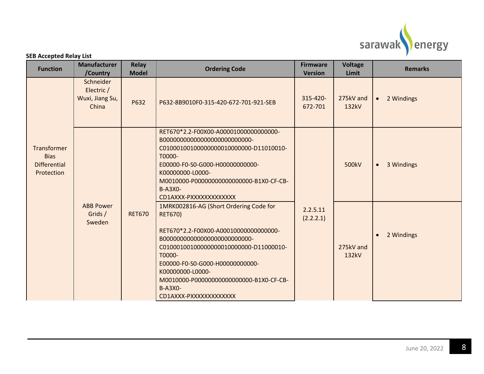

| <b>Function</b>                                                 | <b>Manufacturer</b><br>/Country                     | <b>Relay</b><br><b>Model</b> | <b>Ordering Code</b>                                                                                                                                                                                                                                                                                   | <b>Firmware</b><br><b>Version</b> | <b>Voltage</b><br>Limit | <b>Remarks</b>          |
|-----------------------------------------------------------------|-----------------------------------------------------|------------------------------|--------------------------------------------------------------------------------------------------------------------------------------------------------------------------------------------------------------------------------------------------------------------------------------------------------|-----------------------------------|-------------------------|-------------------------|
|                                                                 | Schneider<br>Electric /<br>Wuxi, Jiang Su,<br>China | P632                         | P632-8B9010F0-315-420-672-701-921-SEB                                                                                                                                                                                                                                                                  | 315-420-<br>672-701               | 275kV and<br>132kV      | 2 Windings<br>$\bullet$ |
| Transformer<br><b>Bias</b><br><b>Differential</b><br>Protection |                                                     |                              | RET670*2.2-F00X00-A000010000000000000-<br>C010001001000000000010000000-D11010010-<br>T0000-<br>E00000-F0-S0-G000-H00000000000-<br>K00000000-L0000-<br>M0010000-P000000000000000000-B1X0-CF-CB-<br><b>B-A3X0-</b><br>CD1AXXX-PXXXXXXXXXXXXX                                                             |                                   | 500kV                   | 3 Windings<br>$\bullet$ |
|                                                                 | <b>ABB Power</b><br>Grids /<br>Sweden               | <b>RET670</b>                | 1MRK002816-AG (Short Ordering Code for<br><b>RET670)</b><br>RET670*2.2-F00X00-A000100000000000000-<br>C010001001000000000010000000-D11000010-<br>T0000-<br>E00000-F0-S0-G000-H00000000000-<br>K00000000-L0000-<br>M0010000-P000000000000000000-B1X0-CF-CB-<br><b>B-A3X0-</b><br>CD1AXXX-PXXXXXXXXXXXXX | 2.2.5.11<br>(2.2.2.1)             | 275kV and<br>132kV      | 2 Windings<br>$\bullet$ |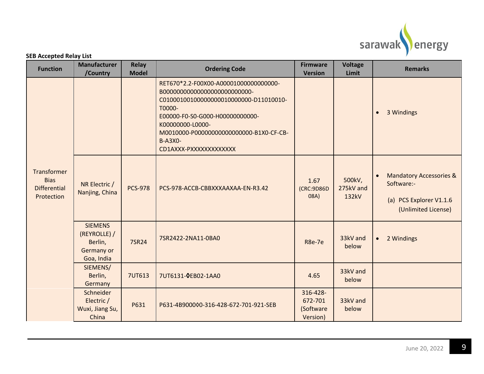

| <b>SEB Accepted Relay List</b> |  |  |
|--------------------------------|--|--|
|--------------------------------|--|--|

| <b>Function</b>                                                 | <b>Manufacturer</b><br>/Country                                       | Relay<br><b>Model</b> | <b>Ordering Code</b>                                                                                                                                                                                                                       | <b>Firmware</b><br><b>Version</b>            | <b>Voltage</b><br>Limit      | <b>Remarks</b>                                                                                                  |
|-----------------------------------------------------------------|-----------------------------------------------------------------------|-----------------------|--------------------------------------------------------------------------------------------------------------------------------------------------------------------------------------------------------------------------------------------|----------------------------------------------|------------------------------|-----------------------------------------------------------------------------------------------------------------|
|                                                                 |                                                                       |                       | RET670*2.2-F00X00-A000010000000000000-<br>C010001001000000000010000000-D11010010-<br>T0000-<br>E00000-F0-S0-G000-H00000000000-<br>K00000000-L0000-<br>M0010000-P000000000000000000-B1X0-CF-CB-<br><b>B-A3X0-</b><br>CD1AXXX-PXXXXXXXXXXXXX |                                              |                              | 3 Windings<br>$\bullet$                                                                                         |
| Transformer<br><b>Bias</b><br><b>Differential</b><br>Protection | NR Electric /<br>Nanjing, China                                       | <b>PCS-978</b>        | PCS-978-ACCB-CBBXXXAAXAA-EN-R3.42                                                                                                                                                                                                          | 1.67<br>(CRC:9D86D<br>08A)                   | 500kV,<br>275kV and<br>132kV | <b>Mandatory Accessories &amp;</b><br>$\bullet$<br>Software:-<br>(a) PCS Explorer V1.1.6<br>(Unlimited License) |
|                                                                 | <b>SIEMENS</b><br>(REYROLLE) /<br>Berlin,<br>Germany or<br>Goa, India | 7SR24                 | 7SR2422-2NA11-0BA0                                                                                                                                                                                                                         | <b>R8e-7e</b>                                | 33kV and<br>below            | 2 Windings<br>$\bullet$                                                                                         |
|                                                                 | SIEMENS/<br>Berlin,<br>Germany                                        | <b>7UT613</b>         | 7UT6131-0EB02-1AA0                                                                                                                                                                                                                         | 4.65                                         | 33kV and<br>below            |                                                                                                                 |
|                                                                 | Schneider<br>Electric /<br>Wuxi, Jiang Su,<br>China                   | P631                  | P631-4B900000-316-428-672-701-921-SEB                                                                                                                                                                                                      | 316-428-<br>672-701<br>(Software<br>Version) | 33kV and<br>below            |                                                                                                                 |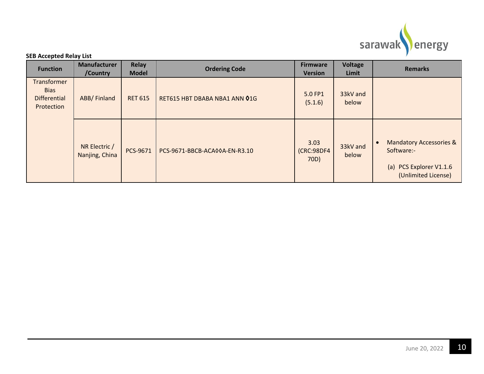

| <b>Function</b>                                                 | <b>Manufacturer</b><br>/Country | <b>Relay</b><br><b>Model</b> | <b>Ordering Code</b>          | <b>Firmware</b><br><b>Version</b> | <b>Voltage</b><br>Limit | <b>Remarks</b>                                                                                                  |  |
|-----------------------------------------------------------------|---------------------------------|------------------------------|-------------------------------|-----------------------------------|-------------------------|-----------------------------------------------------------------------------------------------------------------|--|
| Transformer<br><b>Bias</b><br><b>Differential</b><br>Protection | <b>ABB/Finland</b>              | <b>RET 615</b>               | RET615 HBT DBABA NBA1 ANN 01G | 5.0 FP1<br>(5.1.6)                | 33kV and<br>below       |                                                                                                                 |  |
|                                                                 | NR Electric /<br>Nanjing, China | PCS-9671                     | PCS-9671-BBCB-ACA00A-EN-R3.10 | 3.03<br>(CRC:98DF4<br>70D)        | 33kV and<br>below       | <b>Mandatory Accessories &amp;</b><br>$\bullet$<br>Software:-<br>(a) PCS Explorer V1.1.6<br>(Unlimited License) |  |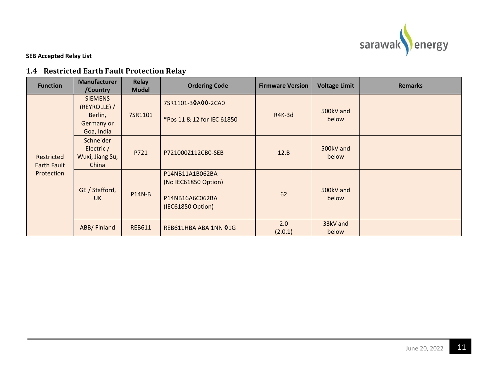

### **1.4 Restricted Earth Fault Protection Relay**

<span id="page-13-0"></span>

| <b>Function</b>                         | <b>Manufacturer</b><br>/Country                                       | <b>Relay</b><br><b>Model</b> | <b>Ordering Code</b>                                                            | <b>Firmware Version</b> | <b>Voltage Limit</b> | <b>Remarks</b> |
|-----------------------------------------|-----------------------------------------------------------------------|------------------------------|---------------------------------------------------------------------------------|-------------------------|----------------------|----------------|
| Restricted<br>Earth Fault<br>Protection | <b>SIEMENS</b><br>(REYROLLE) /<br>Berlin,<br>Germany or<br>Goa, India | 7SR1101                      | 7SR1101-30A00-2CA0<br>*Pos 11 & 12 for IEC 61850                                | <b>R4K-3d</b>           | 500kV and<br>below   |                |
|                                         | Schneider<br>Electric /<br>Wuxi, Jiang Su,<br>China                   | P721                         | P721000Z112CB0-SEB                                                              | 12.B                    | 500kV and<br>below   |                |
|                                         | GE / Stafford,<br><b>UK</b>                                           | <b>P14N-B</b>                | P14NB11A1B062BA<br>(No IEC61850 Option)<br>P14NB16A6C062BA<br>(IEC61850 Option) | 62                      | 500kV and<br>below   |                |
|                                         | ABB/Finland                                                           | <b>REB611</b>                | REB611HBA ABA 1NN 01G                                                           | 2.0<br>(2.0.1)          | 33kV and<br>below    |                |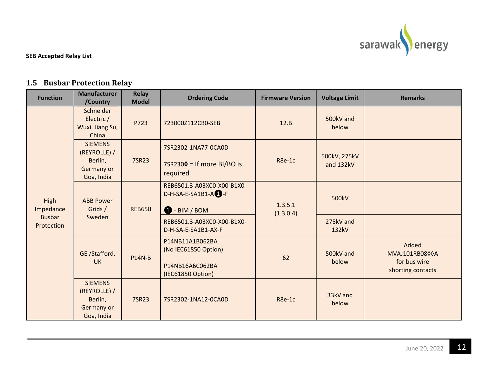

### **1.5 Busbar Protection Relay**

<span id="page-14-0"></span>

| <b>Function</b>             | <b>Manufacturer</b><br>/Country                                                | <b>Relay</b><br><b>Model</b> | <b>Ordering Code</b>                                                            | <b>Firmware Version</b> | <b>Voltage Limit</b>      | <b>Remarks</b>                                               |
|-----------------------------|--------------------------------------------------------------------------------|------------------------------|---------------------------------------------------------------------------------|-------------------------|---------------------------|--------------------------------------------------------------|
| High<br>Impedance           | Schneider<br>Electric /<br>Wuxi, Jiang Su,<br>China                            | P723                         | 723000Z112CB0-SEB                                                               | 12.B                    | 500kV and<br>below        |                                                              |
|                             | <b>SIEMENS</b><br>(REYROLLE) /<br>Berlin,<br>7SR23<br>Germany or<br>Goa, India |                              | 7SR2302-1NA77-0CA0D<br>$7$ SR2300 = If more BI/BO is<br>required                | R8e-1c                  | 500kV, 275kV<br>and 132kV |                                                              |
|                             | <b>ABB Power</b><br>Grids /<br>Sweden                                          | <b>REB650</b>                | REB6501.3-A03X00-X00-B1X0-<br>$D-H-SA-E-SA1B1-A$ -F<br><b>D</b> - BIM / BOM     | 1.3.5.1<br>(1.3.0.4)    | 500kV                     |                                                              |
| <b>Busbar</b><br>Protection |                                                                                |                              | REB6501.3-A03X00-X00-B1X0-<br>D-H-SA-E-SA1B1-AX-F                               |                         | 275kV and<br>132kV        |                                                              |
|                             | GE /Stafford,<br><b>UK</b>                                                     | <b>P14N-B</b>                | P14NB11A1B062BA<br>(No IEC61850 Option)<br>P14NB16A6C062BA<br>(IEC61850 Option) | 62                      | 500kV and<br>below        | Added<br>MVAJ101RB0800A<br>for bus wire<br>shorting contacts |
|                             | <b>SIEMENS</b><br>(REYROLLE) /<br>Berlin,<br>Germany or<br>Goa, India          | 7SR23                        | 7SR2302-1NA12-0CA0D                                                             | R8e-1c                  | 33kV and<br>below         |                                                              |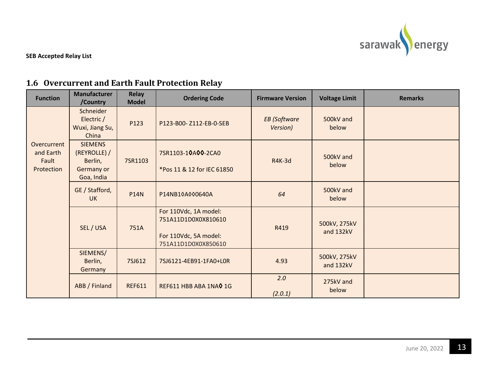

# **1.6 Overcurrent and Earth Fault Protection Relay**

<span id="page-15-0"></span>

| <b>Function</b>                                 | <b>Manufacturer</b><br>/Country                                       | <b>Relay</b><br><b>Model</b> | <b>Ordering Code</b>                                                                         | <b>Firmware Version</b>         | <b>Voltage Limit</b>      | <b>Remarks</b> |
|-------------------------------------------------|-----------------------------------------------------------------------|------------------------------|----------------------------------------------------------------------------------------------|---------------------------------|---------------------------|----------------|
|                                                 | Schneider<br>Electric /<br>Wuxi, Jiang Su,<br>China                   | P123                         | P123-B00-Z112-EB-0-SEB                                                                       | <b>EB</b> (Software<br>Version) | 500kV and<br>below        |                |
| Overcurrent<br>and Earth<br>Fault<br>Protection | <b>SIEMENS</b><br>(REYROLLE) /<br>Berlin,<br>Germany or<br>Goa, India | 7SR1103                      | 7SR1103-10A00-2CA0<br>*Pos 11 & 12 for IEC 61850                                             | <b>R4K-3d</b>                   | 500kV and<br>below        |                |
|                                                 | GE / Stafford,<br><b>UK</b>                                           | <b>P14N</b>                  | P14NB10A000640A                                                                              | 64                              | 500kV and<br>below        |                |
|                                                 | SEL / USA                                                             | 751A                         | For 110Vdc, 1A model:<br>751A11D1D0X0X810610<br>For 110Vdc, 5A model:<br>751A11D1D0X0X850610 | R419                            | 500kV, 275kV<br>and 132kV |                |
|                                                 | SIEMENS/<br>Berlin,<br>Germany                                        | 7SJ612                       | 7SJ6121-4EB91-1FA0+L0R                                                                       | 4.93                            | 500kV, 275kV<br>and 132kV |                |
|                                                 | ABB / Finland                                                         | <b>REF611</b>                | REF611 HBB ABA 1NAO 1G                                                                       | 2.0<br>(2.0.1)                  | 275kV and<br>below        |                |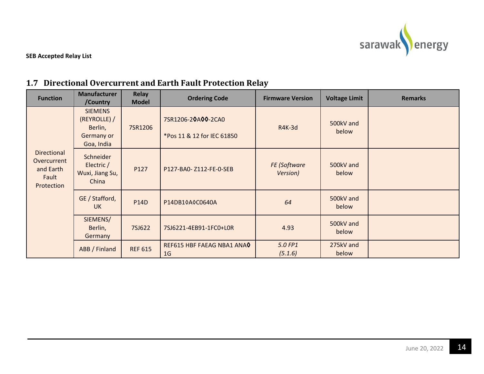

# **1.7 Directional Overcurrent and Earth Fault Protection Relay**

<span id="page-16-0"></span>

| <b>Function</b>                                                       | <b>Manufacturer</b><br>/Country                                       | Relay<br><b>Model</b> | <b>Ordering Code</b>                             | <b>Firmware Version</b>  | <b>Voltage Limit</b> | <b>Remarks</b> |
|-----------------------------------------------------------------------|-----------------------------------------------------------------------|-----------------------|--------------------------------------------------|--------------------------|----------------------|----------------|
| <b>Directional</b><br>Overcurrent<br>and Earth<br>Fault<br>Protection | <b>SIEMENS</b><br>(REYROLLE) /<br>Berlin,<br>Germany or<br>Goa, India | 7SR1206               | 7SR1206-20A00-2CA0<br>*Pos 11 & 12 for IEC 61850 | <b>R4K-3d</b>            | 500kV and<br>below   |                |
|                                                                       | Schneider<br>Electric /<br>Wuxi, Jiang Su,<br>China                   | P127                  | P127-BA0- Z112-FE-0-SEB                          | FE (Software<br>Version) | 500kV and<br>below   |                |
|                                                                       | GE / Stafford,<br><b>UK</b>                                           | <b>P14D</b>           | P14DB10A0C0640A                                  | 64                       | 500kV and<br>below   |                |
|                                                                       | SIEMENS/<br>Berlin,<br>Germany                                        | 7SJ622                | 7SJ6221-4EB91-1FC0+L0R                           | 4.93                     | 500kV and<br>below   |                |
|                                                                       | ABB / Finland                                                         | <b>REF 615</b>        | REF615 HBF FAEAG NBA1 ANAO<br>1 <sub>G</sub>     | 5.0 FP1<br>(5.1.6)       | 275kV and<br>below   |                |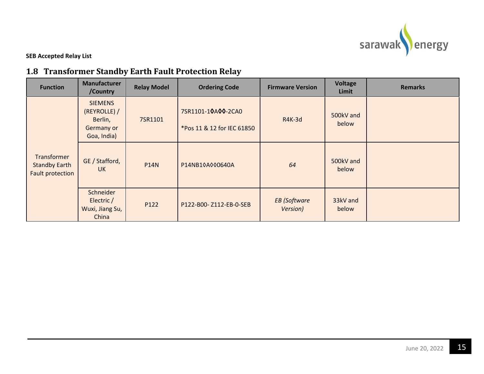

# **1.8 Transformer Standby Earth Fault Protection Relay**

<span id="page-17-0"></span>

| <b>Function</b>                                         | <b>Manufacturer</b><br>/Country                                        | <b>Relay Model</b> | <b>Ordering Code</b>                             | <b>Firmware Version</b>         | <b>Voltage</b><br>Limit | <b>Remarks</b> |
|---------------------------------------------------------|------------------------------------------------------------------------|--------------------|--------------------------------------------------|---------------------------------|-------------------------|----------------|
| Transformer<br><b>Standby Earth</b><br>Fault protection | <b>SIEMENS</b><br>(REYROLLE) /<br>Berlin,<br>Germany or<br>Goa, India) | 7SR1101            | 7SR1101-10A00-2CA0<br>*Pos 11 & 12 for IEC 61850 | <b>R4K-3d</b>                   | 500kV and<br>below      |                |
|                                                         | GE / Stafford,<br><b>UK</b>                                            | <b>P14N</b>        | P14NB10A000640A                                  | 64                              | 500kV and<br>below      |                |
|                                                         | Schneider<br>Electric /<br>Wuxi, Jiang Su,<br>China                    | P122               | P122-B00-Z112-EB-0-SEB                           | <b>EB</b> (Software<br>Version) | 33kV and<br>below       |                |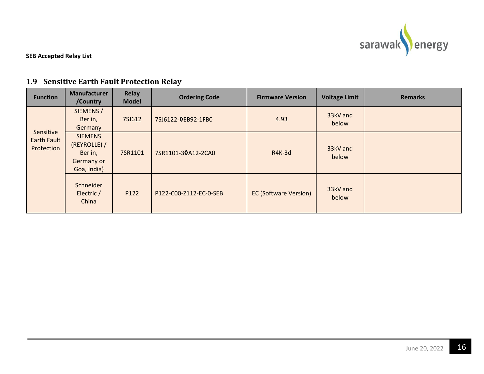

### **1.9 Sensitive Earth Fault Protection Relay**

<span id="page-18-0"></span>

| <b>Function</b>                               | <b>Manufacturer</b><br>/Country                                        | <b>Relay</b><br><b>Model</b> | <b>Ordering Code</b>   | <b>Firmware Version</b>      | <b>Voltage Limit</b> | <b>Remarks</b> |
|-----------------------------------------------|------------------------------------------------------------------------|------------------------------|------------------------|------------------------------|----------------------|----------------|
|                                               | SIEMENS /<br>Berlin,<br>Germany                                        | 7SJ612                       | 7SJ6122-0EB92-1FB0     | 4.93                         | 33kV and<br>below    |                |
| Sensitive<br><b>Earth Fault</b><br>Protection | <b>SIEMENS</b><br>(REYROLLE) /<br>Berlin,<br>Germany or<br>Goa, India) | 7SR1101                      | 7SR1101-30A12-2CA0     | $R4K-3d$                     | 33kV and<br>below    |                |
|                                               | Schneider<br>Electric /<br>China                                       | P122                         | P122-C00-Z112-EC-0-SEB | <b>EC (Software Version)</b> | 33kV and<br>below    |                |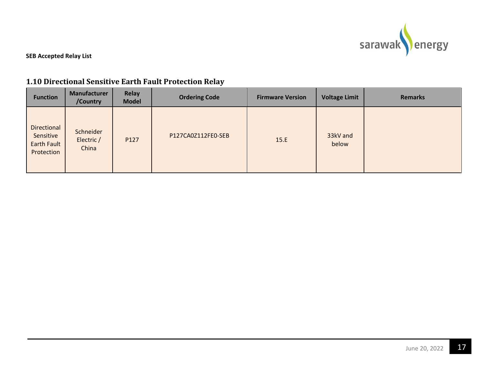

### **1.10 Directional Sensitive Earth Fault Protection Relay**

<span id="page-19-0"></span>

| <b>Function</b>                                       | Manufacturer<br>/Country         | Relay<br><b>Model</b> | <b>Ordering Code</b> | <b>Firmware Version</b> | <b>Voltage Limit</b> | <b>Remarks</b> |
|-------------------------------------------------------|----------------------------------|-----------------------|----------------------|-------------------------|----------------------|----------------|
| Directional<br>Sensitive<br>Earth Fault<br>Protection | Schneider<br>Electric /<br>China | P127                  | P127CA0Z112FE0-SEB   | 15.E                    | 33kV and<br>below    |                |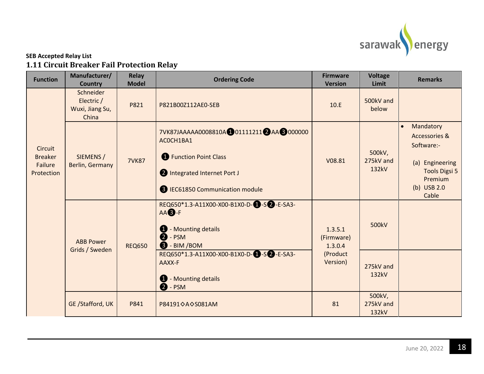

### **SEB Accepted Relay List 1.11 Circuit Breaker Fail Protection Relay**

<span id="page-20-0"></span>

| <b>Function</b>                                    | Manufacturer/<br><b>Country</b>                     | <b>Relay</b><br><b>Model</b> | <b>Ordering Code</b>                                                                                                                                                                                                                               | <b>Firmware</b><br><b>Version</b>                        | <b>Voltage</b><br>Limit      | <b>Remarks</b>                                                                                                                                 |
|----------------------------------------------------|-----------------------------------------------------|------------------------------|----------------------------------------------------------------------------------------------------------------------------------------------------------------------------------------------------------------------------------------------------|----------------------------------------------------------|------------------------------|------------------------------------------------------------------------------------------------------------------------------------------------|
|                                                    | Schneider<br>Electric /<br>Wuxi, Jiang Su,<br>China | P821                         | P821B00Z112AE0-SEB                                                                                                                                                                                                                                 | 10.E                                                     | 500kV and<br>below           |                                                                                                                                                |
| Circuit<br><b>Breaker</b><br>Failure<br>Protection | SIEMENS /<br>Berlin, Germany                        | <b>7VK87</b>                 | 7VK87JAAAAAA0008810A 001111211 2 AA 3 000000<br>ACOCH1BA1<br><b>B</b> Function Point Class<br>1 Integrated Internet Port J<br>B IEC61850 Communication module                                                                                      | V08.81                                                   | 500kV,<br>275kV and<br>132kV | Mandatory<br>$\bullet$<br><b>Accessories &amp;</b><br>Software:-<br>(a) Engineering<br><b>Tools Digsi 5</b><br>Premium<br>(b) USB 2.0<br>Cable |
|                                                    | <b>ABB Power</b><br>Grids / Sweden                  | <b>REQ650</b>                | REQ650*1.3-A11X00-X00-B1X0-D-0-S2 -E-SA3-<br>AA <b>B</b> -F<br><b>1</b> - Mounting details<br>$\bullet$ - PSM<br>$\bigotimes$ - BIM / BOM<br>REQ650*1.3-A11X00-X00-B1X0-D-1-S2 -E-SA3-<br>AAXX-F<br><b>1</b> - Mounting details<br>$\bullet$ - PSM | 1.3.5.1<br>(Firmware)<br>1.3.0.4<br>(Product<br>Version) | 500kV<br>275kV and<br>132kV  |                                                                                                                                                |
|                                                    | GE /Stafford, UK                                    | P841                         | P84191 QA Q S081AM                                                                                                                                                                                                                                 | 81                                                       | 500kV,<br>275kV and<br>132kV |                                                                                                                                                |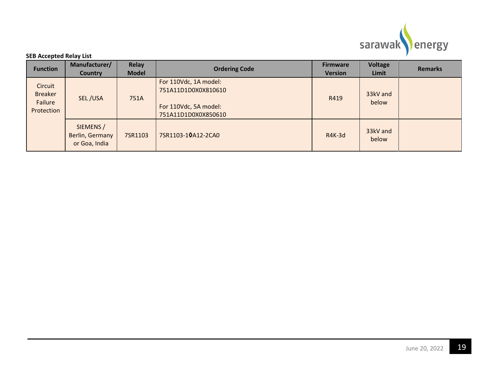

| <b>Function</b>                                    | Manufacturer/<br><b>Country</b>               | Relay<br><b>Model</b> | <b>Ordering Code</b>                                                                         | <b>Firmware</b><br><b>Version</b> | Voltage<br>Limit  | <b>Remarks</b> |
|----------------------------------------------------|-----------------------------------------------|-----------------------|----------------------------------------------------------------------------------------------|-----------------------------------|-------------------|----------------|
| Circuit<br><b>Breaker</b><br>Failure<br>Protection | SEL/USA                                       | 751A                  | For 110Vdc, 1A model:<br>751A11D1D0X0X810610<br>For 110Vdc, 5A model:<br>751A11D1D0X0X850610 | R419                              | 33kV and<br>below |                |
|                                                    | SIEMENS /<br>Berlin, Germany<br>or Goa, India | 7SR1103               | 7SR1103-10A12-2CA0                                                                           | <b>R4K-3d</b>                     | 33kV and<br>below |                |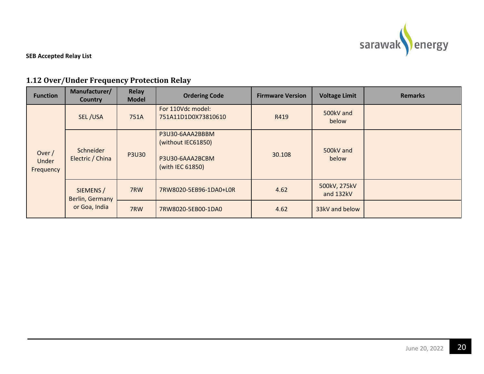

# **1.12 Over/Under Frequency Protection Relay**

<span id="page-22-0"></span>

| <b>Function</b>              | Manufacturer/<br><b>Country</b>               | <b>Relay</b><br><b>Model</b> | <b>Ordering Code</b>                                                         | <b>Firmware Version</b> | <b>Voltage Limit</b>      | <b>Remarks</b> |
|------------------------------|-----------------------------------------------|------------------------------|------------------------------------------------------------------------------|-------------------------|---------------------------|----------------|
|                              | SEL/USA                                       | 751A                         | For 110Vdc model:<br>751A11D1D0X73810610                                     | R419                    | 500kV and<br>below        |                |
| Over /<br>Under<br>Frequency | Schneider<br>Electric / China                 | <b>P3U30</b>                 | P3U30-6AAA2BBBM<br>(without IEC61850)<br>P3U30-6AAA2BCBM<br>(with IEC 61850) | 30.108                  | 500kV and<br>below        |                |
|                              | SIEMENS /<br>Berlin, Germany<br>or Goa, India | 7RW                          | 7RW8020-5EB96-1DA0+L0R                                                       | 4.62                    | 500kV, 275kV<br>and 132kV |                |
|                              |                                               | 7RW                          | 7RW8020-5EB00-1DA0                                                           | 4.62                    | 33kV and below            |                |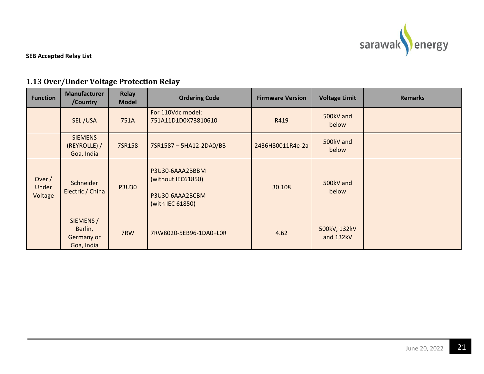

# **1.13 Over/Under Voltage Protection Relay**

<span id="page-23-0"></span>

| <b>Function</b>              | <b>Manufacturer</b><br>/Country                  | <b>Relay</b><br><b>Model</b> | <b>Ordering Code</b>                                                         | <b>Firmware Version</b> | <b>Voltage Limit</b>      | <b>Remarks</b> |
|------------------------------|--------------------------------------------------|------------------------------|------------------------------------------------------------------------------|-------------------------|---------------------------|----------------|
| Over $/$<br>Under<br>Voltage | SEL/USA                                          | 751A                         | For 110Vdc model:<br>751A11D1D0X73810610                                     | R419                    | 500kV and<br>below        |                |
|                              | <b>SIEMENS</b><br>(REYROLLE) /<br>Goa, India     | 7SR158                       | 7SR1587-5HA12-2DA0/BB                                                        | 2436H80011R4e-2a        | 500kV and<br>below        |                |
|                              | Schneider<br>Electric / China                    | <b>P3U30</b>                 | P3U30-6AAA2BBBM<br>(without IEC61850)<br>P3U30-6AAA2BCBM<br>(with IEC 61850) | 30.108                  | 500kV and<br>below        |                |
|                              | SIEMENS /<br>Berlin,<br>Germany or<br>Goa, India | 7RW                          | 7RW8020-5EB96-1DA0+L0R                                                       | 4.62                    | 500kV, 132kV<br>and 132kV |                |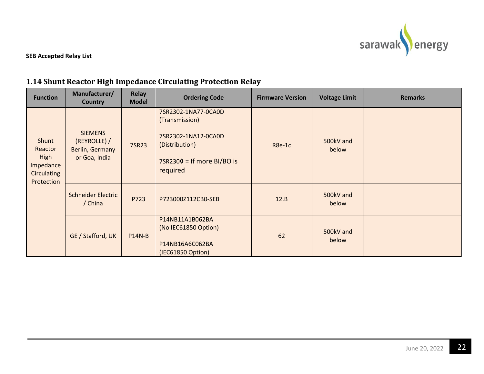

### **1.14 Shunt Reactor High Impedance Circulating Protection Relay**

<span id="page-24-0"></span>

| <b>Function</b>                                                           | Manufacturer/<br><b>Country</b>                                    | <b>Relay</b><br><b>Model</b> | <b>Ordering Code</b>                                                                                                        | <b>Firmware Version</b> | <b>Voltage Limit</b> | <b>Remarks</b> |
|---------------------------------------------------------------------------|--------------------------------------------------------------------|------------------------------|-----------------------------------------------------------------------------------------------------------------------------|-------------------------|----------------------|----------------|
| Shunt<br>Reactor<br>High<br>Impedance<br><b>Circulating</b><br>Protection | <b>SIEMENS</b><br>(REYROLLE) /<br>Berlin, Germany<br>or Goa, India | 7SR23                        | 7SR2302-1NA77-0CA0D<br>(Transmission)<br>7SR2302-1NA12-0CA0D<br>(Distribution)<br>$7$ SR2300 = If more BI/BO is<br>required | R8e-1c                  | 500kV and<br>below   |                |
|                                                                           | <b>Schneider Electric</b><br>/ China                               | P723                         | P723000Z112CB0-SEB                                                                                                          | 12.B                    | 500kV and<br>below   |                |
|                                                                           | GE / Stafford, UK                                                  | <b>P14N-B</b>                | P14NB11A1B062BA<br>(No IEC61850 Option)<br>P14NB16A6C062BA<br>(IEC61850 Option)                                             | 62                      | 500kV and<br>below   |                |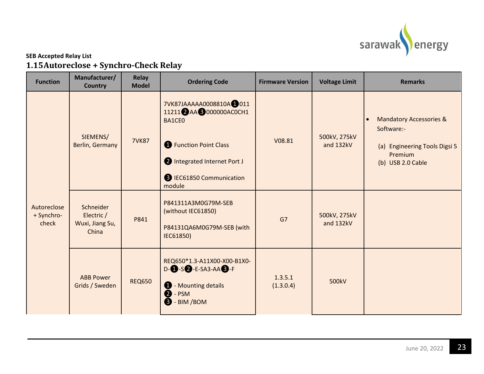

### **SEB Accepted Relay List 1.15Autoreclose + Synchro-Check Relay**

<span id="page-25-0"></span>

| <b>Function</b>                    | Manufacturer/<br><b>Country</b>                     | <b>Relay</b><br><b>Model</b> | <b>Ordering Code</b>                                                                                                                                                          | <b>Firmware Version</b> | <b>Voltage Limit</b>      | <b>Remarks</b>                                                                                                                 |
|------------------------------------|-----------------------------------------------------|------------------------------|-------------------------------------------------------------------------------------------------------------------------------------------------------------------------------|-------------------------|---------------------------|--------------------------------------------------------------------------------------------------------------------------------|
| Autoreclose<br>+ Synchro-<br>check | SIEMENS/<br>Berlin, Germany                         | <b>7VK87</b>                 | 7VK87JAAAAA0008810A <sup>0</sup> 011<br>11211 AA 3000000AC0CH1<br>BA1CE0<br><b>C</b> Function Point Class<br>Integrated Internet Port J<br>B IEC61850 Communication<br>module | V08.81                  | 500kV, 275kV<br>and 132kV | <b>Mandatory Accessories &amp;</b><br>$\bullet$<br>Software:-<br>(a) Engineering Tools Digsi 5<br>Premium<br>(b) USB 2.0 Cable |
|                                    | Schneider<br>Electric /<br>Wuxi, Jiang Su,<br>China | P841                         | P841311A3M0G79M-SEB<br>(without IEC61850)<br>P84131QA6M0G79M-SEB (with<br>IEC61850)                                                                                           | G7                      | 500kV, 275kV<br>and 132kV |                                                                                                                                |
|                                    | <b>ABB Power</b><br>Grids / Sweden                  | <b>REQ650</b>                | REQ650*1.3-A11X00-X00-B1X0-<br>$D-SQ$ -E-SA3-AA $S$ -F<br>- Mounting details<br>$\mathbf 0$<br>$\bullet$ - PSM<br><b>B</b> - BIM / BOM                                        | 1.3.5.1<br>(1.3.0.4)    | 500kV                     |                                                                                                                                |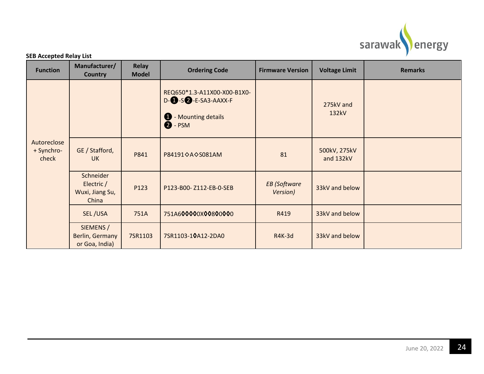

|  | <b>Function</b>                                     | Manufacturer/<br><b>Country</b>                | <b>Relay</b><br><b>Model</b>                                                                                     | <b>Ordering Code</b>            | <b>Firmware Version</b> | <b>Voltage Limit</b>      | <b>Remarks</b> |
|--|-----------------------------------------------------|------------------------------------------------|------------------------------------------------------------------------------------------------------------------|---------------------------------|-------------------------|---------------------------|----------------|
|  |                                                     |                                                | REQ650*1.3-A11X00-X00-B1X0-<br>$D - 5$ - $E$ -SA3-AAXX-F<br>- Mounting details<br>$\mathbf 0$<br>$\bullet$ - PSM |                                 | 275kV and<br>132kV      |                           |                |
|  | Autoreclose<br>+ Synchro-<br>check                  | GE / Stafford,<br><b>UK</b>                    | P841                                                                                                             | P84191◇A◇S081AM                 | 81                      | 500kV, 275kV<br>and 132kV |                |
|  | Schneider<br>Electric /<br>Wuxi, Jiang Su,<br>China | P123                                           | P123-B00-Z112-EB-0-SEB                                                                                           | <b>EB</b> (Software<br>Version) | 33kV and below          |                           |                |
|  |                                                     | SEL/USA                                        | 751A                                                                                                             | 751A600000X00800000             | R419                    | 33kV and below            |                |
|  |                                                     | SIEMENS /<br>Berlin, Germany<br>or Goa, India) | 7SR1103                                                                                                          | 7SR1103-10A12-2DA0              | <b>R4K-3d</b>           | 33kV and below            |                |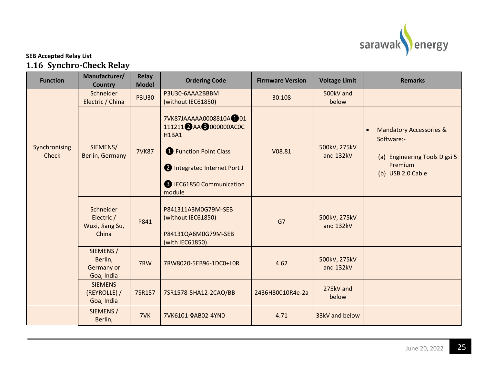

### **SEB Accepted Relay List 1.16 Synchro-Check Relay**

<span id="page-27-0"></span>

| <b>Function</b>               | Manufacturer/<br><b>Country</b>                     | Relay<br><b>Model</b> | <b>Ordering Code</b>                                                                                                                                                                 | <b>Firmware Version</b>      | <b>Voltage Limit</b>      | <b>Remarks</b>                                                                                                                 |
|-------------------------------|-----------------------------------------------------|-----------------------|--------------------------------------------------------------------------------------------------------------------------------------------------------------------------------------|------------------------------|---------------------------|--------------------------------------------------------------------------------------------------------------------------------|
|                               | Schneider<br>Electric / China                       | <b>P3U30</b>          | P3U30-6AAA2BBBM<br>(without IEC61850)                                                                                                                                                | 500kV and<br>30.108<br>below |                           |                                                                                                                                |
| Synchronising<br><b>Check</b> | SIEMENS/<br>Berlin, Germany                         | <b>7VK87</b>          | 7VK87JAAAAA0008810A <sup>0</sup> 01<br>111211 2 AA 3 000000AC0C<br><b>H1BA1</b><br><b>B</b> Function Point Class<br>Integrated Internet Port J<br>B IEC61850 Communication<br>module | V08.81                       | 500kV, 275kV<br>and 132kV | <b>Mandatory Accessories &amp;</b><br>$\bullet$<br>Software:-<br>(a) Engineering Tools Digsi 5<br>Premium<br>(b) USB 2.0 Cable |
|                               | Schneider<br>Electric /<br>Wuxi, Jiang Su,<br>China | P841                  | P841311A3M0G79M-SEB<br>(without IEC61850)<br>P84131QA6M0G79M-SEB<br>(with IEC61850)                                                                                                  | G7                           | 500kV, 275kV<br>and 132kV |                                                                                                                                |
|                               | SIEMENS /<br>Berlin,<br>Germany or<br>Goa, India    | 7RW                   | 7RW8020-5EB96-1DC0+L0R                                                                                                                                                               | 4.62                         | 500kV, 275kV<br>and 132kV |                                                                                                                                |
|                               | <b>SIEMENS</b><br>(REYROLLE) /<br>Goa, India        | 7SR157                | 7SR1578-5HA12-2CAO/BB                                                                                                                                                                | 2436H80010R4e-2a             | 275kV and<br>below        |                                                                                                                                |
|                               | SIEMENS /<br>Berlin,                                | 7VK                   | 7VK6101-0AB02-4YN0                                                                                                                                                                   | 4.71                         | 33kV and below            |                                                                                                                                |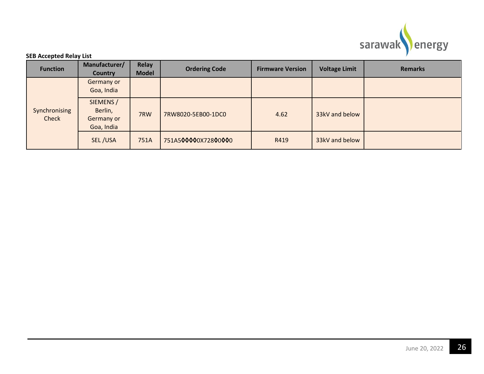

|  | <b>Function</b>          | Manufacturer/<br><b>Country</b>                  | Relay<br><b>Model</b> | <b>Ordering Code</b> | <b>Firmware Version</b> | <b>Voltage Limit</b> | <b>Remarks</b> |
|--|--------------------------|--------------------------------------------------|-----------------------|----------------------|-------------------------|----------------------|----------------|
|  | Germany or<br>Goa, India |                                                  |                       |                      |                         |                      |                |
|  | Synchronising<br>Check   | SIEMENS /<br>Berlin,<br>Germany or<br>Goa, India | 7RW                   | 7RW8020-5EB00-1DC0   | 4.62                    | 33kV and below       |                |
|  |                          | SEL/USA                                          | 751A                  | 751A500000X72800000  | R419                    | 33kV and below       |                |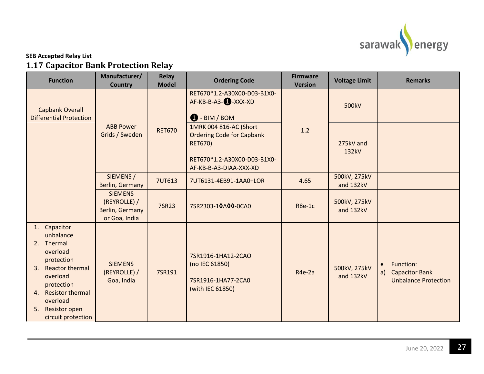

### **SEB Accepted Relay List 1.17 Capacitor Bank Protection Relay**

<span id="page-29-0"></span>

| <b>Function</b>                                                                                                                                                                                                                 | Manufacturer/<br><b>Country</b>                                           | <b>Relay</b><br><b>Model</b> | <b>Ordering Code</b>                                                                   | <b>Firmware</b><br><b>Version</b> | <b>Voltage Limit</b>      | <b>Remarks</b>                                                                       |
|---------------------------------------------------------------------------------------------------------------------------------------------------------------------------------------------------------------------------------|---------------------------------------------------------------------------|------------------------------|----------------------------------------------------------------------------------------|-----------------------------------|---------------------------|--------------------------------------------------------------------------------------|
| <b>Capbank Overall</b><br><b>Differential Protection</b>                                                                                                                                                                        |                                                                           |                              | RET670*1.2-A30X00-D03-B1X0-<br>AF-KB-B-A3- <b>4</b> -XXX-XD<br>$\bigoplus$ - BIM / BOM |                                   | 500kV                     |                                                                                      |
|                                                                                                                                                                                                                                 | <b>ABB Power</b><br>Grids / Sweden                                        | <b>RET670</b>                | 1MRK 004 816-AC (Short<br><b>Ordering Code for Capbank</b><br><b>RET670)</b>           | 1.2                               | 275kV and<br>132kV        |                                                                                      |
|                                                                                                                                                                                                                                 |                                                                           |                              | RET670*1.2-A30X00-D03-B1X0-<br>AF-KB-B-A3-DIAA-XXX-XD                                  |                                   |                           |                                                                                      |
|                                                                                                                                                                                                                                 | SIEMENS /<br>Berlin, Germany                                              | <b>7UT613</b>                | 7UT6131-4EB91-1AA0+LOR                                                                 | 4.65                              | 500kV, 275kV<br>and 132kV |                                                                                      |
|                                                                                                                                                                                                                                 | <b>SIEMENS</b><br>(REYROLLE) /<br><b>Berlin, Germany</b><br>or Goa, India | 7SR23                        | 7SR2303-10A00-0CA0                                                                     | R8e-1c                            | 500kV, 275kV<br>and 132kV |                                                                                      |
| Capacitor<br>1.<br>unbalance<br>2. Thermal<br>overload<br>protection<br><b>Reactor thermal</b><br>3.<br>overload<br>protection<br><b>Resistor thermal</b><br>4.<br>overload<br><b>Resistor open</b><br>5.<br>circuit protection | <b>SIEMENS</b><br>(REYROLLE) /<br>Goa, India                              | 7SR191                       | 7SR1916-1HA12-2CAO<br>(no IEC 61850)<br>7SR1916-1HA77-2CA0<br>(with IEC 61850)         | R <sub>4e</sub> -2a               | 500kV, 275kV<br>and 132kV | Function:<br>$\bullet$<br><b>Capacitor Bank</b><br>a)<br><b>Unbalance Protection</b> |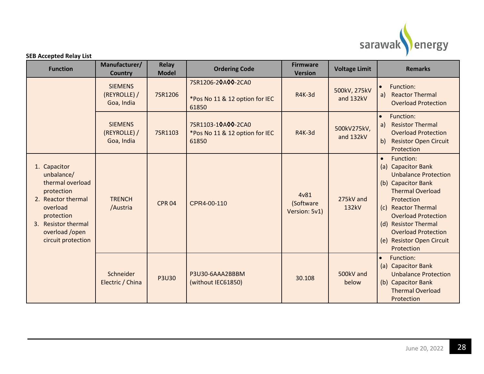

| <b>Function</b>                                                                                                                                                             | Manufacturer/<br><b>Country</b>              | Relay<br><b>Model</b> | <b>Ordering Code</b>                                          | <b>Firmware</b><br><b>Version</b>  | <b>Voltage Limit</b>      | <b>Remarks</b>                                                                                                                                                                                                                                                                                   |
|-----------------------------------------------------------------------------------------------------------------------------------------------------------------------------|----------------------------------------------|-----------------------|---------------------------------------------------------------|------------------------------------|---------------------------|--------------------------------------------------------------------------------------------------------------------------------------------------------------------------------------------------------------------------------------------------------------------------------------------------|
|                                                                                                                                                                             | <b>SIEMENS</b><br>(REYROLLE) /<br>Goa, India | 7SR1206               | 7SR1206-20A00-2CA0<br>*Pos No 11 & 12 option for IEC<br>61850 | <b>R4K-3d</b>                      | 500kV, 275kV<br>and 132kV | Function:<br>$\bullet$<br><b>Reactor Thermal</b><br>a)<br><b>Overload Protection</b>                                                                                                                                                                                                             |
|                                                                                                                                                                             | <b>SIEMENS</b><br>(REYROLLE) /<br>Goa, India | 7SR1103               | 7SR1103-10A00-2CA0<br>*Pos No 11 & 12 option for IEC<br>61850 | <b>R4K-3d</b>                      | 500kV275kV,<br>and 132kV  | Function:<br>$\bullet$<br><b>Resistor Thermal</b><br>a)<br><b>Overload Protection</b><br><b>Resistor Open Circuit</b><br>b)<br>Protection                                                                                                                                                        |
| 1. Capacitor<br>unbalance/<br>thermal overload<br>protection<br>2. Reactor thermal<br>overload<br>protection<br>3. Resistor thermal<br>overload /open<br>circuit protection | <b>TRENCH</b><br>/Austria                    | <b>CPR 04</b>         | CPR4-00-110                                                   | 4v81<br>(Software<br>Version: 5v1) | 275kV and<br>132kV        | Function:<br>$\bullet$<br>(a) Capacitor Bank<br><b>Unbalance Protection</b><br>(b) Capacitor Bank<br><b>Thermal Overload</b><br>Protection<br>(c) Reactor Thermal<br><b>Overload Protection</b><br>(d) Resistor Thermal<br><b>Overload Protection</b><br>(e) Resistor Open Circuit<br>Protection |
|                                                                                                                                                                             | Schneider<br>Electric / China                | <b>P3U30</b>          | P3U30-6AAA2BBBM<br>(without IEC61850)                         | 30.108                             | 500kV and<br>below        | Function:<br>$\bullet$<br>(a) Capacitor Bank<br><b>Unbalance Protection</b><br>(b) Capacitor Bank<br><b>Thermal Overload</b><br>Protection                                                                                                                                                       |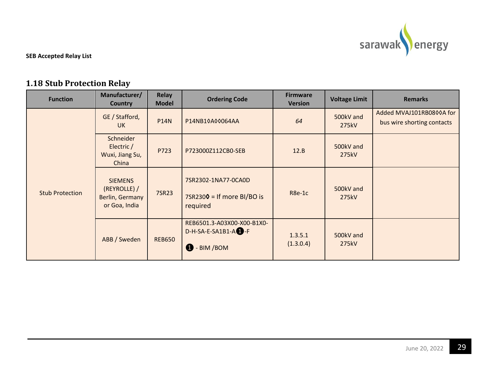

# **1.18 Stub Protection Relay**

<span id="page-31-0"></span>

| <b>Function</b>        | Manufacturer/<br><b>Country</b>                                    | <b>Relay</b><br><b>Model</b> | <b>Ordering Code</b>                                                               | <b>Firmware</b><br><b>Version</b> | <b>Voltage Limit</b> | <b>Remarks</b>                                         |
|------------------------|--------------------------------------------------------------------|------------------------------|------------------------------------------------------------------------------------|-----------------------------------|----------------------|--------------------------------------------------------|
| <b>Stub Protection</b> | GE / Stafford,<br>UK.                                              | <b>P14N</b>                  | P14NB10A00064AA                                                                    | 64                                | 500kV and<br>275kV   | Added MVAJ101RB0800A for<br>bus wire shorting contacts |
|                        | Schneider<br>Electric /<br>Wuxi, Jiang Su,<br>China                | P723                         | P723000Z112CB0-SEB                                                                 | 12.B                              | 500kV and<br>275kV   |                                                        |
|                        | <b>SIEMENS</b><br>(REYROLLE) /<br>Berlin, Germany<br>or Goa, India | 7SR23                        | 7SR2302-1NA77-0CA0D<br>$7$ SR2300 = If more BI/BO is<br>required                   | R8e-1c                            | 500kV and<br>275kV   |                                                        |
|                        | ABB / Sweden                                                       | <b>REB650</b>                | REB6501.3-A03X00-X00-B1X0-<br>$D-H-SA-E-SA1B1-A$ -F<br>$\mathbf{a}$<br>- BIM / BOM | 1.3.5.1<br>(1.3.0.4)              | 500kV and<br>275kV   |                                                        |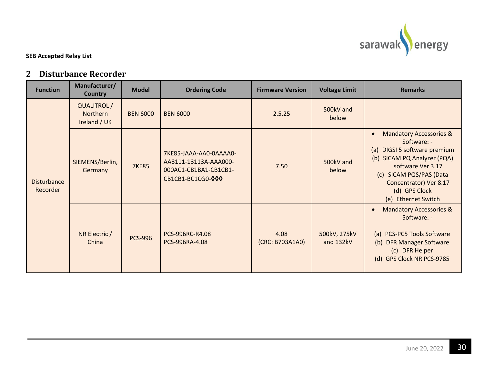

### **2 Disturbance Recorder**

<span id="page-32-0"></span>

| <b>Function</b>                | Manufacturer/<br><b>Country</b>                | <b>Model</b>                      | <b>Ordering Code</b>                                                                          | <b>Firmware Version</b>   | <b>Voltage Limit</b>                                                                                                                                                              | <b>Remarks</b>                                                                                                                                                                                                                                  |
|--------------------------------|------------------------------------------------|-----------------------------------|-----------------------------------------------------------------------------------------------|---------------------------|-----------------------------------------------------------------------------------------------------------------------------------------------------------------------------------|-------------------------------------------------------------------------------------------------------------------------------------------------------------------------------------------------------------------------------------------------|
|                                | QUALITROL /<br><b>Northern</b><br>Ireland / UK | <b>BEN 6000</b>                   | <b>BEN 6000</b>                                                                               | 2.5.25                    | 500kV and<br>below                                                                                                                                                                |                                                                                                                                                                                                                                                 |
| <b>Disturbance</b><br>Recorder | SIEMENS/Berlin,<br>Germany                     | <b>7KE85</b>                      | 7KE85-JAAA-AA0-0AAAA0-<br>AA8111-13113A-AAA000-<br>000AC1-CB1BA1-CB1CB1-<br>CB1CB1-BC1CG0-000 | 7.50                      | 500kV and<br>below                                                                                                                                                                | <b>Mandatory Accessories &amp;</b><br>$\bullet$<br>Software: -<br>(a) DIGSI 5 software premium<br>(b) SICAM PQ Analyzer (PQA)<br>software Ver 3.17<br>(c) SICAM PQS/PAS (Data<br>Concentrator) Ver 8.17<br>(d) GPS Clock<br>(e) Ethernet Switch |
|                                | NR Electric /<br><b>PCS-996</b><br>China       | PCS-996RC-R4.08<br>PCS-996RA-4.08 | 4.08<br>(CRC: B703A1A0)                                                                       | 500kV, 275kV<br>and 132kV | <b>Mandatory Accessories &amp;</b><br>$\bullet$<br>Software: -<br>(a) PCS-PC5 Tools Software<br><b>DFR Manager Software</b><br>(b)<br>(c) DFR Helper<br>(d) GPS Clock NR PCS-9785 |                                                                                                                                                                                                                                                 |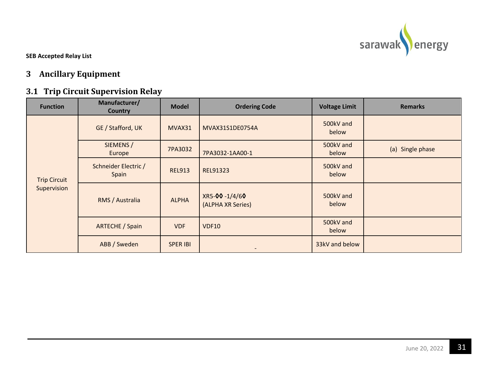

# **3 Ancillary Equipment**

# **3.1 Trip Circuit Supervision Relay**

<span id="page-33-1"></span><span id="page-33-0"></span>

| <b>Function</b>     | Manufacturer/<br><b>Country</b> | <b>Model</b>    | <b>Ordering Code</b>               | <b>Voltage Limit</b> | <b>Remarks</b>   |
|---------------------|---------------------------------|-----------------|------------------------------------|----------------------|------------------|
|                     | GE / Stafford, UK               | MVAX31          | MVAX31S1DE0754A                    | 500kV and<br>below   |                  |
|                     | SIEMENS /<br>Europe             | 7PA3032         | 7PA3032-1AA00-1                    | 500kV and<br>below   | (a) Single phase |
| <b>Trip Circuit</b> | Schneider Electric /<br>Spain   | <b>REL913</b>   | REL91323                           | 500kV and<br>below   |                  |
| Supervision         | RMS / Australia                 | <b>ALPHA</b>    | XR5-00-1/4/60<br>(ALPHA XR Series) | 500kV and<br>below   |                  |
|                     | ARTECHE / Spain                 | <b>VDF</b>      | <b>VDF10</b>                       | 500kV and<br>below   |                  |
|                     | ABB / Sweden                    | <b>SPER IBI</b> | $\overline{\phantom{a}}$           | 33kV and below       |                  |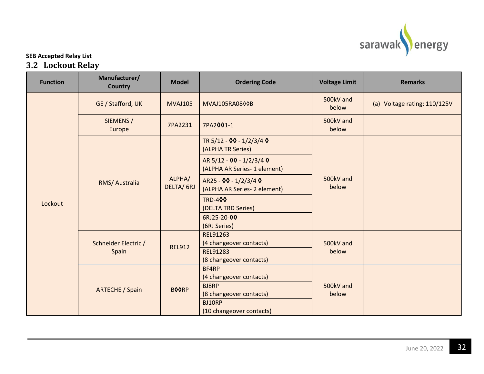

### **SEB Accepted Relay List 3.2 Lockout Relay**

<span id="page-34-0"></span>

| <b>Function</b> | Manufacturer/<br><b>Country</b> | <b>Model</b>        | <b>Ordering Code</b>                                     | <b>Voltage Limit</b> | <b>Remarks</b>               |
|-----------------|---------------------------------|---------------------|----------------------------------------------------------|----------------------|------------------------------|
|                 | GE / Stafford, UK               | <b>MVAJ105</b>      | MVAJ105RA0800B                                           | 500kV and<br>below   | (a) Voltage rating: 110/125V |
|                 | SIEMENS /<br>Europe             | 7PA2231             | 7PA2001-1                                                | 500kV and<br>below   |                              |
|                 |                                 | ALPHA/<br>DELTA/6RJ | TR 5/12 - 00 - 1/2/3/4 0<br>(ALPHA TR Series)            |                      |                              |
|                 | RMS/ Australia                  |                     | AR 5/12 - 00 - 1/2/3/4 0<br>(ALPHA AR Series- 1 element) | 500kV and<br>below   |                              |
| Lockout         |                                 |                     | AR25 - 00 - 1/2/3/4 0<br>(ALPHA AR Series- 2 element)    |                      |                              |
|                 |                                 |                     | <b>TRD-400</b><br>(DELTA TRD Series)                     |                      |                              |
|                 |                                 |                     | 6RJ25-20-00<br>(6RJ Series)                              |                      |                              |
|                 | Schneider Electric /<br>Spain   | <b>REL912</b>       | REL91263<br>(4 changeover contacts)                      | 500kV and<br>below   |                              |
|                 |                                 |                     | REL91283<br>(8 changeover contacts)                      |                      |                              |
|                 | <b>ARTECHE / Spain</b>          | <b>BOORP</b>        | BF4RP<br>(4 changeover contacts)                         | 500kV and<br>below   |                              |
|                 |                                 |                     | <b>BJ8RP</b><br>(8 changeover contacts)                  |                      |                              |
|                 |                                 |                     | BJ10RP<br>(10 changeover contacts)                       |                      |                              |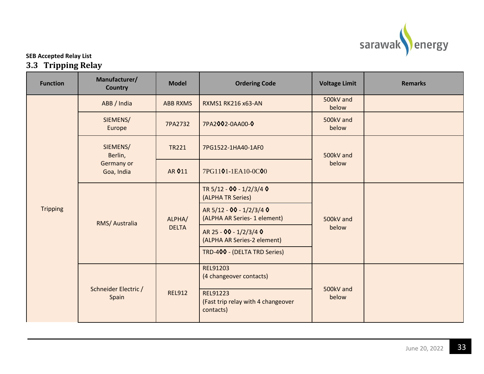

### **SEB Accepted Relay List 3.3 Tripping Relay**

<span id="page-35-0"></span>

| <b>Function</b> | Manufacturer/<br><b>Country</b> | <b>Model</b>           | <b>Ordering Code</b>                                        | <b>Voltage Limit</b> | <b>Remarks</b> |
|-----------------|---------------------------------|------------------------|-------------------------------------------------------------|----------------------|----------------|
|                 | ABB / India                     | <b>ABB RXMS</b>        | <b>RXMS1 RK216 x63-AN</b>                                   | 500kV and<br>below   |                |
|                 | SIEMENS/<br>Europe              | 7PA2732                | 7PA2002-0AA00-0                                             | 500kV and<br>below   |                |
|                 | SIEMENS/<br>Berlin,             | <b>TR221</b>           | 7PG1522-1HA40-1AF0                                          | 500kV and            |                |
| <b>Tripping</b> | Germany or<br>Goa, India        | AR 011                 | 7PG1101-1EA10-0C00                                          | below                |                |
|                 | RMS/ Australia                  | ALPHA/<br><b>DELTA</b> | TR 5/12 - 00 - 1/2/3/4 0<br>(ALPHA TR Series)               | 500kV and<br>below   |                |
|                 |                                 |                        | AR 5/12 - 00 - 1/2/3/4 0<br>(ALPHA AR Series- 1 element)    |                      |                |
|                 |                                 |                        | AR 25 - 00 - 1/2/3/4 0<br>(ALPHA AR Series-2 element)       |                      |                |
|                 |                                 |                        | TRD-400 - (DELTA TRD Series)                                |                      |                |
|                 | Schneider Electric /<br>Spain   |                        | <b>REL91203</b><br>(4 changeover contacts)                  | 500kV and<br>below   |                |
|                 |                                 | <b>REL912</b>          | REL91223<br>(Fast trip relay with 4 changeover<br>contacts) |                      |                |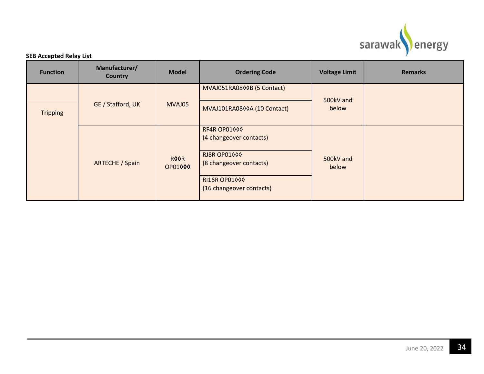

| <b>Function</b> | Manufacturer/<br><b>Country</b> | <b>Model</b>           | <b>Ordering Code</b>                           | <b>Voltage Limit</b> | <b>Remarks</b> |
|-----------------|---------------------------------|------------------------|------------------------------------------------|----------------------|----------------|
|                 |                                 |                        | MVAJ051RA0800B (5 Contact)                     | 500kV and            |                |
| <b>Tripping</b> | GE / Stafford, UK               | MVAJ05                 | MVAJ101RA0800A (10 Contact)                    | below                |                |
|                 |                                 |                        | RF4R OP01000<br>(4 changeover contacts)        |                      |                |
|                 | <b>ARTECHE / Spain</b>          | <b>ROOR</b><br>OP01000 | <b>RJ8R OP01000</b><br>(8 changeover contacts) | 500kV and<br>below   |                |
|                 |                                 |                        | RI16R OP01000<br>(16 changeover contacts)      |                      |                |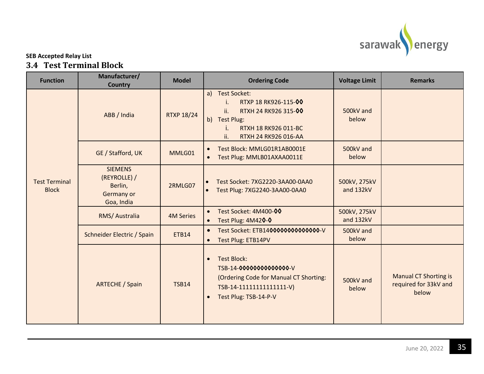

### **SEB Accepted Relay List 3.4 Test Terminal Block**

<span id="page-37-0"></span>

| <b>Function</b>                      | Manufacturer/<br><b>Country</b>                                       | <b>Model</b>      | <b>Ordering Code</b>                                                                                                                                       | <b>Voltage Limit</b>      | <b>Remarks</b>                                                 |
|--------------------------------------|-----------------------------------------------------------------------|-------------------|------------------------------------------------------------------------------------------------------------------------------------------------------------|---------------------------|----------------------------------------------------------------|
|                                      | ABB / India                                                           | <b>RTXP 18/24</b> | a) Test Socket:<br>RTXP 18 RK926-115-00<br>i.<br>RTXH 24 RK926 315-00<br>ii.<br>b) Test Plug:<br>RTXH 18 RK926 011-BC<br>i.<br>ii.<br>RTXH 24 RK926 016-AA | 500kV and<br>below        |                                                                |
|                                      | GE / Stafford, UK                                                     | MMLG01            | Test Block: MMLG01R1AB0001E<br>$\bullet$<br>Test Plug: MMLB01AXAA0011E                                                                                     | 500kV and<br>below        |                                                                |
| <b>Test Terminal</b><br><b>Block</b> | <b>SIEMENS</b><br>(REYROLLE) /<br>Berlin,<br>Germany or<br>Goa, India | 2RMLG07           | Test Socket: 7XG2220-3AA00-0AA0<br>Test Plug: 7XG2240-3AA00-0AA0                                                                                           | 500kV, 275kV<br>and 132kV |                                                                |
|                                      | RMS/ Australia                                                        | <b>4M Series</b>  | Test Socket: 4M400-00<br>$\bullet$<br>Test Plug: 4M420-0<br>$\bullet$                                                                                      | 500kV, 275kV<br>and 132kV |                                                                |
|                                      | Schneider Electric / Spain                                            | <b>ETB14</b>      | Test Socket: ETB140000000000000-V<br>$\bullet$<br>Test Plug: ETB14PV<br>$\bullet$                                                                          | 500kV and<br>below        |                                                                |
|                                      | <b>ARTECHE / Spain</b>                                                | <b>TSB14</b>      | <b>Test Block:</b><br>TSB-14-0000000000000-V<br>(Ordering Code for Manual CT Shorting:<br>TSB-14-111111111111111-V)<br>Test Plug: TSB-14-P-V<br>$\bullet$  | 500kV and<br>below        | <b>Manual CT Shorting is</b><br>required for 33kV and<br>below |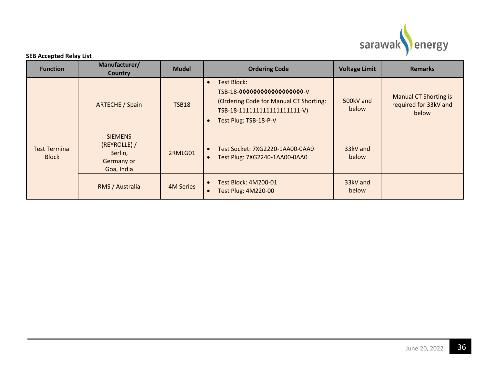

| <b>Function</b>               | Manufacturer/<br><b>Country</b>                                       | <b>Model</b>     | <b>Ordering Code</b>                                                                                                                                                    | <b>Voltage Limit</b> | <b>Remarks</b>                                                 |
|-------------------------------|-----------------------------------------------------------------------|------------------|-------------------------------------------------------------------------------------------------------------------------------------------------------------------------|----------------------|----------------------------------------------------------------|
|                               | <b>ARTECHE / Spain</b>                                                | <b>TSB18</b>     | Test Block:<br>$\bullet$<br>TSB-18-00000000000000000-V<br>(Ordering Code for Manual CT Shorting:<br>TSB-18-1111111111111111111-V)<br>Test Plug: TSB-18-P-V<br>$\bullet$ | 500kV and<br>below   | <b>Manual CT Shorting is</b><br>required for 33kV and<br>below |
| Test Terminal<br><b>Block</b> | <b>SIEMENS</b><br>(REYROLLE) /<br>Berlin,<br>Germany or<br>Goa, India | 2RMLG01          | Test Socket: 7XG2220-1AA00-0AA0<br>$\bullet$<br>Test Plug: 7XG2240-1AA00-0AA0                                                                                           | 33kV and<br>below    |                                                                |
|                               | RMS / Australia                                                       | <b>4M Series</b> | Test Block: 4M200-01<br>$\bullet$<br>Test Plug: 4M220-00<br>$\bullet$                                                                                                   | 33kV and<br>below    |                                                                |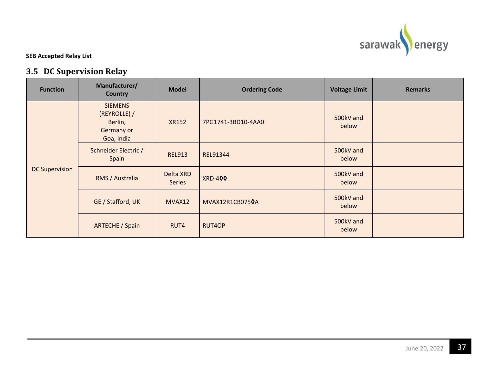

# **3.5 DC Supervision Relay**

<span id="page-39-0"></span>

| <b>Function</b>       | Manufacturer/<br><b>Country</b>                                              | <b>Model</b>               | <b>Ordering Code</b> | <b>Voltage Limit</b> | <b>Remarks</b> |
|-----------------------|------------------------------------------------------------------------------|----------------------------|----------------------|----------------------|----------------|
| <b>DC Supervision</b> | <b>SIEMENS</b><br>(REYROLLE) /<br>Berlin,<br><b>Germany or</b><br>Goa, India | <b>XR152</b>               | 7PG1741-3BD10-4AA0   | 500kV and<br>below   |                |
|                       | Schneider Electric /<br>Spain                                                | <b>REL913</b>              | REL91344             | 500kV and<br>below   |                |
|                       | RMS / Australia                                                              | Delta XRD<br><b>Series</b> | <b>XRD-400</b>       | 500kV and<br>below   |                |
|                       | GE / Stafford, UK                                                            | MVAX12                     | MVAX12R1CB0750A      | 500kV and<br>below   |                |
|                       | <b>ARTECHE / Spain</b>                                                       | RUT4                       | RUT4OP               | 500kV and<br>below   |                |